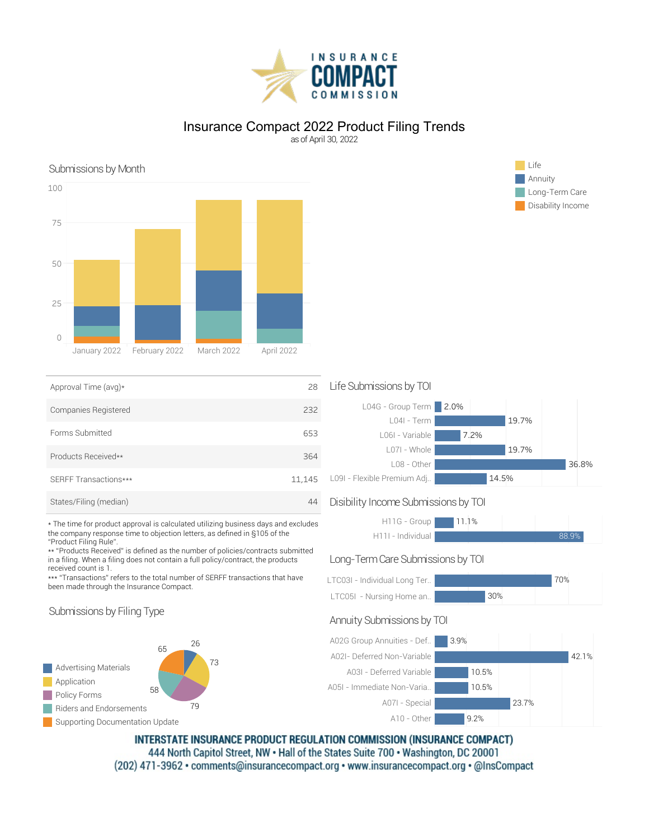

# Insurance Compact 2022 Product Filing Trends

as of April 30, 2022

# Submissions by Month Life



| Approval Time (avg)*   | 28     |
|------------------------|--------|
| Companies Registered   | 232    |
| Forms Submitted        | 653    |
| Products Received**    | 364    |
| SERFF Transactions***  | 11,145 |
| States/Filing (median) |        |

\* The time for product approval is calculated utilizing business days and excludes the company response time to objection letters, as defined in §105 of the "Product Filing Rule".

\*\* "Products Received" is defined as the number of policies/contracts submitted in a filing. When a filing does not contain a full policy/contract, the products received count is 1.

\*\*\* "Transactions" refers to the total number of SERFF transactions that have been made through the Insurance Compact.

### Submissions by Filing Type



### Life Submissions by TOI



## Disibility Income Submissions by TOI



### Long-Term Care Submissions by TOI

| LTC03I - Individual Long Ter |     | 70% |
|------------------------------|-----|-----|
| LTC05I - Nursing Home an.    | 30% |     |

# Annuity Submissions by TOI



INTERSTATE INSURANCE PRODUCT REGULATION COMMISSION (INSURANCE COMPACT) 444 North Capitol Street, NW . Hall of the States Suite 700 . Washington, DC 20001 (202) 471-3962 · comments@insurancecompact.org · www.insurancecompact.org · @InsCompact